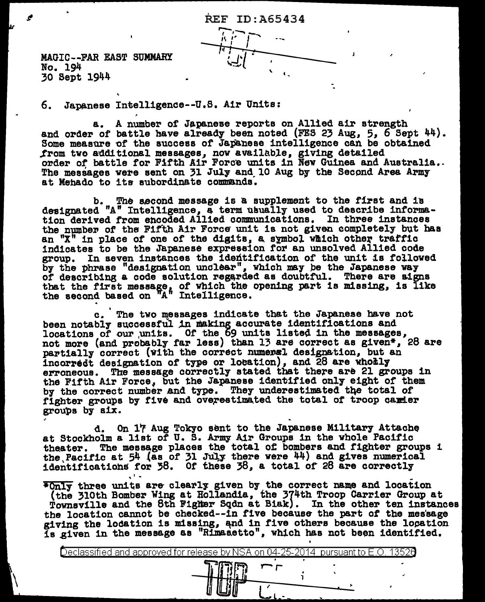REF ID:A65434  $\frac{1}{2}$ 

MAGIC--PAR EAST SUMMARY No. 194 30 Sept 1944

6. Japanese Intelligence--U.S. Air Units:

a. A number of Japanese reports on Allied air strength<br>and order of battle have already been noted (FES 23 Aug, 5, 6 Sept 44).<br>Some measure of the success of Japanese intelligence can be obtained .trom two additional messages, now available, giving detailed order of battle for Fifth Air Force units in  $\bar{N}$ ew Guinea and Australia.. The messages were sent on 31 July and 10 Aug by the Second Area Army at Mehado to its subordinate commands.

b. The second message is a supplement to the first and is designated " $A''$  Intelligence, a term usually used to describe information derived from encoded Allied communications. In three instances the number of the Fifth Air Force unit is not given completely but has an  $\mathbb{R}^n$  in place of one of the digits, a symbol which other traffic indicates to be the Japanese expression for an unsolved Allied code group. In seven instances the idedtif'ication of the unit is followed by the phrase "designation unclear", which may be the Japanese way of describing a code solution regarded as doubtful. There are signs that the first message, of which the opening part is missing, is like the second based on "A" Intelligence.

c. The two messages indicate that the Japanese have not been notably successful in making accurate identifications and locations of our units. Of the 69 units listed in the messages, not more (and probably far less) than 13 are correct as given\*, 28 are partially correct (with the correct numeral designation, but an incorredt designation of type or location), and  $\overline{28}$  are wholly erroneous. The message correctly stated that there are 21 groups in the Fifth Air Force, but the Japanese identified only eight of them by the correct number and type. They underestimated the total of fighter groups by five and overestimated the total of troop carier groups by six.

d. On 17 Aug Tokyo sent to the Japanese Military Attache at Stockholm a list of U. S. Army Air Groups in the whole Pacific theater. The message places the total of bombers and fighter groups i the Pacific at  $54$  (as of 31 July there were  $44$ ) and gives numerical identifications for 38. Of these 38, a total of 28 are correctly

• I •  $*$ Only three units are clearly given by the correct name and location (the 310th Bomber Wing at Hollandia, the 374th Troop Carrier Group at Townsville and the 8th Figher Sqdn at Biak). In the other ten instances the location cannot be checked--in five because the part of the message giving the location is missing, and in five others because the location<br>is given in the message as "Rimasetto", which has not been identified.

I rJ *;r.* l

I

Ceclassified and approved for release by NSA on 04-25-2014 pursuantto E.O. 1352a .. ij~ r-'r .